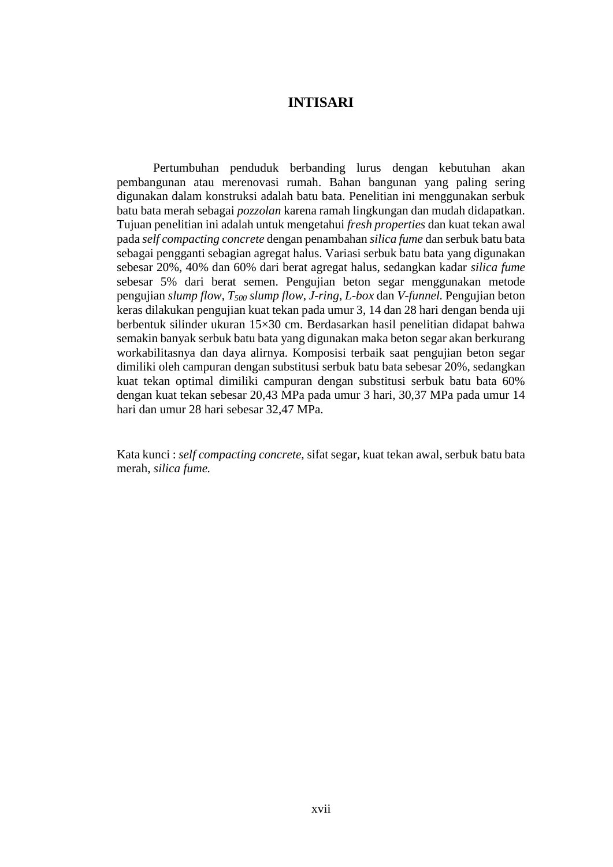## **INTISARI**

Pertumbuhan penduduk berbanding lurus dengan kebutuhan akan pembangunan atau merenovasi rumah. Bahan bangunan yang paling sering digunakan dalam konstruksi adalah batu bata. Penelitian ini menggunakan serbuk batu bata merah sebagai *pozzolan* karena ramah lingkungan dan mudah didapatkan. Tujuan penelitian ini adalah untuk mengetahui *fresh properties* dan kuat tekan awal pada *self compacting concrete* dengan penambahan *silica fume* dan serbuk batu bata sebagai pengganti sebagian agregat halus. Variasi serbuk batu bata yang digunakan sebesar 20%, 40% dan 60% dari berat agregat halus, sedangkan kadar *silica fume* sebesar 5% dari berat semen. Pengujian beton segar menggunakan metode pengujian *slump flow*, *T<sup>500</sup> slump flow*, *J*-*ring*, *L-box* dan *V-funnel.* Pengujian beton keras dilakukan pengujian kuat tekan pada umur 3, 14 dan 28 hari dengan benda uji berbentuk silinder ukuran 15×30 cm. Berdasarkan hasil penelitian didapat bahwa semakin banyak serbuk batu bata yang digunakan maka beton segar akan berkurang workabilitasnya dan daya alirnya. Komposisi terbaik saat pengujian beton segar dimiliki oleh campuran dengan substitusi serbuk batu bata sebesar 20%, sedangkan kuat tekan optimal dimiliki campuran dengan substitusi serbuk batu bata 60% dengan kuat tekan sebesar 20,43 MPa pada umur 3 hari, 30,37 MPa pada umur 14 hari dan umur 28 hari sebesar 32,47 MPa.

Kata kunci : *self compacting concrete,* sifat segar*,* kuat tekan awal, serbuk batu bata merah, *silica fume.*